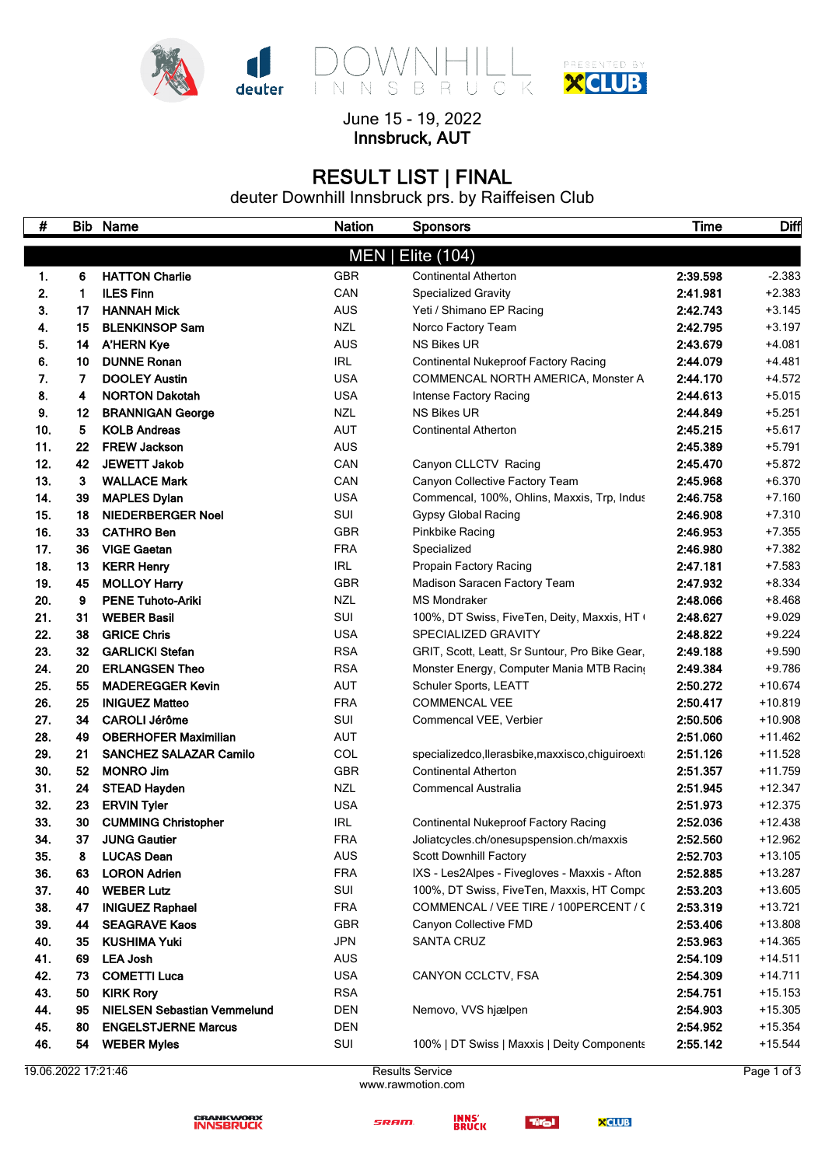



 $-K$ 

 $\overline{C}$ 

June 15 - 19, 2022 **Innsbruck, AUT**

# **RESULT LIST | FINAL**

deuter Downhill Innsbruck prs. by Raiffeisen Club

| #          |          | <b>Bib Name</b>                            | <b>Nation</b>     | <b>Sponsors</b>                                                               | Time                 | Diff                 |
|------------|----------|--------------------------------------------|-------------------|-------------------------------------------------------------------------------|----------------------|----------------------|
|            |          |                                            | MEN               | Elite (104)                                                                   |                      |                      |
|            | 6        | <b>HATTON Charlie</b>                      | <b>GBR</b>        |                                                                               | 2:39.598             | $-2.383$             |
| 1.         | 1.       | <b>ILES Finn</b>                           |                   | <b>Continental Atherton</b>                                                   |                      |                      |
| 2.<br>З.   | 17       | <b>HANNAH Mick</b>                         | CAN<br><b>AUS</b> | <b>Specialized Gravity</b><br>Yeti / Shimano EP Racing                        | 2:41.981<br>2:42.743 | $+2.383$<br>$+3.145$ |
| 4.         | 15       | <b>BLENKINSOP Sam</b>                      | <b>NZL</b>        | Norco Factory Team                                                            | 2:42.795             | $+3.197$             |
| 5.         | 14       | <b>A'HERN Kye</b>                          | <b>AUS</b>        | <b>NS Bikes UR</b>                                                            | 2:43.679             | $+4.081$             |
| 6.         | 10       | <b>DUNNE Ronan</b>                         | IRL               | <b>Continental Nukeproof Factory Racing</b>                                   | 2:44.079             | $+4.481$             |
| 7.         | 7        | <b>DOOLEY Austin</b>                       | <b>USA</b>        | COMMENCAL NORTH AMERICA, Monster A                                            | 2:44.170             | $+4.572$             |
| 8.         | 4        | <b>NORTON Dakotah</b>                      | <b>USA</b>        |                                                                               | 2:44.613             | $+5.015$             |
| 9.         | 12       |                                            | <b>NZL</b>        | Intense Factory Racing<br><b>NS Bikes UR</b>                                  | 2:44.849             | $+5.251$             |
|            |          | <b>BRANNIGAN George</b>                    |                   |                                                                               |                      |                      |
| 10.<br>11. | 5.<br>22 | <b>KOLB Andreas</b><br><b>FREW Jackson</b> | <b>AUT</b>        | <b>Continental Atherton</b>                                                   | 2:45.215<br>2:45.389 | $+5.617$             |
| 12.        | 42       | <b>JEWETT Jakob</b>                        | <b>AUS</b>        |                                                                               | 2:45.470             | $+5.791$<br>$+5.872$ |
| 13.        | 3        | <b>WALLACE Mark</b>                        | CAN<br>CAN        | Canyon CLLCTV Racing                                                          | 2:45.968             | $+6.370$             |
| 14.        | 39       | <b>MAPLES Dylan</b>                        | <b>USA</b>        | Canyon Collective Factory Team<br>Commencal, 100%, Ohlins, Maxxis, Trp, Indus | 2:46.758             | $+7.160$             |
|            |          |                                            |                   |                                                                               |                      | $+7.310$             |
| 15.        | 18       | <b>NIEDERBERGER Noel</b>                   | SUI               | <b>Gypsy Global Racing</b>                                                    | 2:46.908             |                      |
| 16.        | 33<br>36 | <b>CATHRO Ben</b><br><b>VIGE Gaetan</b>    | <b>GBR</b>        | Pinkbike Racing                                                               | 2:46.953             | $+7.355$             |
| 17.<br>18. | 13       | <b>KERR Henry</b>                          | <b>FRA</b><br>IRL | Specialized                                                                   | 2:46.980<br>2:47.181 | $+7.382$<br>$+7.583$ |
| 19.        | 45       | <b>MOLLOY Harry</b>                        | <b>GBR</b>        | Propain Factory Racing<br>Madison Saracen Factory Team                        | 2:47.932             | $+8.334$             |
| 20.        | 9        | <b>PENE Tuhoto-Ariki</b>                   | <b>NZL</b>        | <b>MS Mondraker</b>                                                           | 2:48.066             | $+8.468$             |
| 21.        | 31       | <b>WEBER Basil</b>                         | SUI               | 100%, DT Swiss, FiveTen, Deity, Maxxis, HT (                                  | 2:48.627             | $+9.029$             |
| 22.        | 38       | <b>GRICE Chris</b>                         | <b>USA</b>        | SPECIALIZED GRAVITY                                                           | 2:48.822             | $+9.224$             |
| 23.        | 32       | <b>GARLICKI Stefan</b>                     | <b>RSA</b>        | GRIT, Scott, Leatt, Sr Suntour, Pro Bike Gear,                                | 2:49.188             | $+9.590$             |
| 24.        | 20       | <b>ERLANGSEN Theo</b>                      | <b>RSA</b>        | Monster Energy, Computer Mania MTB Racing                                     | 2:49.384             | $+9.786$             |
| 25.        | 55       | <b>MADEREGGER Kevin</b>                    | <b>AUT</b>        | Schuler Sports, LEATT                                                         | 2:50.272             | $+10.674$            |
| 26.        | 25       | <b>INIGUEZ Matteo</b>                      | <b>FRA</b>        | <b>COMMENCAL VEE</b>                                                          | 2:50.417             | $+10.819$            |
| 27.        | 34       | <b>CAROLI Jérôme</b>                       | SUI               | Commencal VEE, Verbier                                                        | 2:50.506             | $+10.908$            |
| 28.        | 49       | <b>OBERHOFER Maximilian</b>                | <b>AUT</b>        |                                                                               | 2:51.060             | $+11.462$            |
| 29.        | 21       | <b>SANCHEZ SALAZAR Camilo</b>              | COL               | specializedco, llerasbike, maxxisco, chiguiroext                              | 2:51.126             | $+11.528$            |
| 30.        | 52       | <b>MONRO Jim</b>                           | <b>GBR</b>        | <b>Continental Atherton</b>                                                   | 2:51.357             | +11.759              |
| 31.        | 24       | <b>STEAD Hayden</b>                        | <b>NZL</b>        | Commencal Australia                                                           | 2:51.945             | $+12.347$            |
| 32.        | 23       | <b>ERVIN Tyler</b>                         | <b>USA</b>        |                                                                               | 2:51.973             | $+12.375$            |
| 33.        | 30       | <b>CUMMING Christopher</b>                 | <b>IRL</b>        | <b>Continental Nukeproof Factory Racing</b>                                   | 2:52.036             | $+12.438$            |
| 34         | 37       | <b>JUNG Gautier</b>                        | <b>FRA</b>        | Joliatcycles.ch/onesupspension.ch/maxxis                                      | 2:52.560             | $+12.962$            |
| 35.        | 8        | <b>LUCAS Dean</b>                          | <b>AUS</b>        | Scott Downhill Factory                                                        | 2:52.703             | $+13.105$            |
| 36.        | 63       | <b>LORON Adrien</b>                        | <b>FRA</b>        | IXS - Les2Alpes - Fivegloves - Maxxis - Afton                                 | 2:52.885             | $+13.287$            |
| 37.        | 40       | <b>WEBER Lutz</b>                          | SUI               | 100%, DT Swiss, FiveTen, Maxxis, HT Compo                                     | 2:53.203             | $+13.605$            |
| 38.        | 47       | <b>INIGUEZ Raphael</b>                     | <b>FRA</b>        | COMMENCAL / VEE TIRE / 100PERCENT / (                                         | 2:53.319             | $+13.721$            |
| 39.        | 44       | <b>SEAGRAVE Kaos</b>                       | GBR               | Canyon Collective FMD                                                         | 2:53.406             | $+13.808$            |
| 40.        | 35       | <b>KUSHIMA Yuki</b>                        | JPN               | SANTA CRUZ                                                                    | 2:53.963             | $+14.365$            |
| 41.        | 69       | <b>LEA Josh</b>                            | AUS               |                                                                               | 2:54.109             | $+14.511$            |
| 42.        | 73.      | <b>COMETTI Luca</b>                        | <b>USA</b>        | CANYON CCLCTV, FSA                                                            | 2:54.309             | $+14.711$            |
| 43.        | 50.      | <b>KIRK Rory</b>                           | <b>RSA</b>        |                                                                               | 2:54.751             | $+15.153$            |
| 44.        | 95       | <b>NIELSEN Sebastian Vemmelund</b>         | <b>DEN</b>        | Nemovo, VVS hjælpen                                                           | 2:54.903             | $+15.305$            |
| 45.        | 80       | <b>ENGELSTJERNE Marcus</b>                 | <b>DEN</b>        |                                                                               | 2:54.952             | $+15.354$            |
| 46.        | 54       | <b>WEBER Myles</b>                         | SUI               | 100%   DT Swiss   Maxxis   Deity Components                                   | 2:55.142             | $+15.544$            |
|            |          |                                            |                   |                                                                               |                      |                      |

19.06.2022 17:21:46 Results Service

**CRANKWORX**<br>INNSBRUCK

www.rawmotion.com



Tirol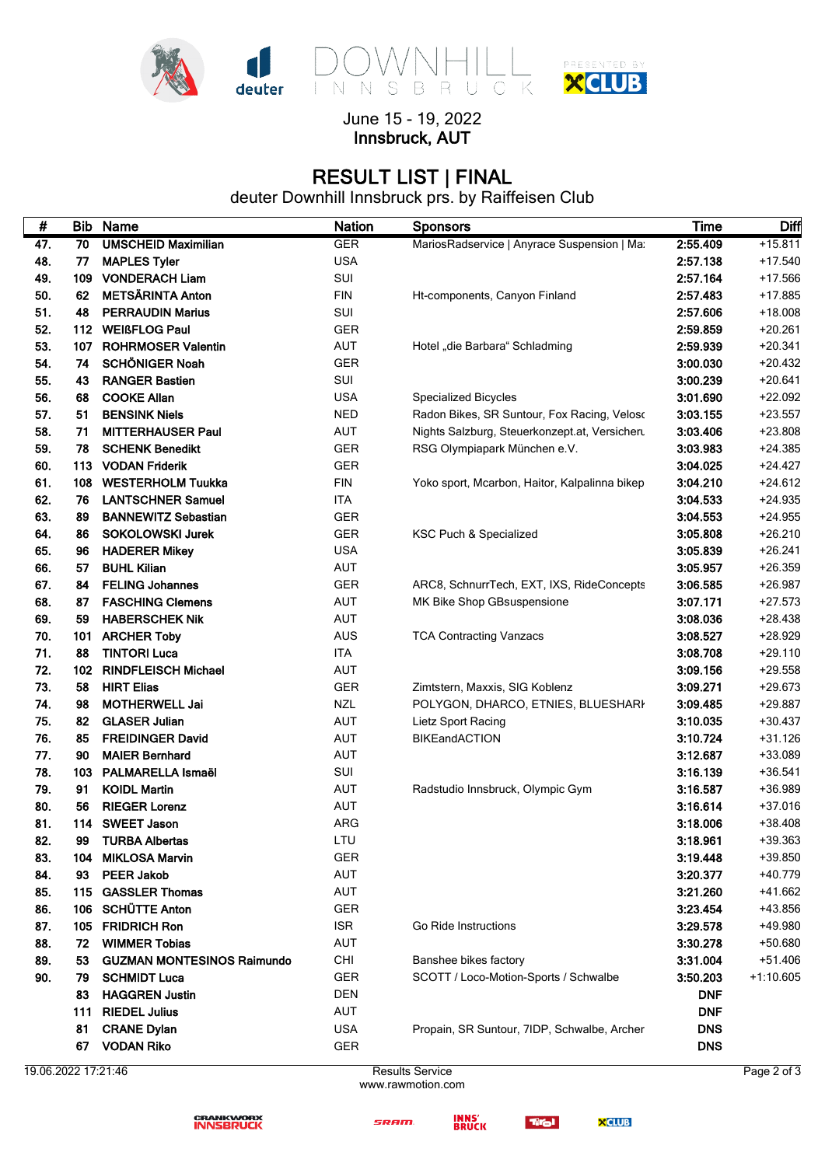

### June 15 - 19, 2022 **Innsbruck, AUT**

# **RESULT LIST | FINAL**

deuter Downhill Innsbruck prs. by Raiffeisen Club

| #   |     | <b>Bib Name</b>                   | <b>Nation</b> | <b>Sponsors</b>                               | <b>Time</b> | Diff        |
|-----|-----|-----------------------------------|---------------|-----------------------------------------------|-------------|-------------|
| 47. | 70  | <b>UMSCHEID Maximilian</b>        | <b>GER</b>    | MariosRadservice   Anyrace Suspension   Mar   | 2:55.409    | $+15.811$   |
| 48. | 77  | <b>MAPLES Tyler</b>               | <b>USA</b>    |                                               | 2:57.138    | $+17.540$   |
| 49. | 109 | <b>VONDERACH Liam</b>             | SUI           |                                               | 2:57.164    | +17.566     |
| 50. | 62  | <b>METSÄRINTA Anton</b>           | <b>FIN</b>    | Ht-components, Canyon Finland                 | 2:57.483    | +17.885     |
| 51. | 48  | <b>PERRAUDIN Marius</b>           | SUI           |                                               | 2:57.606    | $+18.008$   |
| 52. |     | 112 WEIßFLOG Paul                 | <b>GER</b>    |                                               | 2:59.859    | $+20.261$   |
| 53. | 107 | <b>ROHRMOSER Valentin</b>         | AUT           | Hotel "die Barbara" Schladming                | 2:59.939    | $+20.341$   |
| 54. | 74  | <b>SCHÖNIGER Noah</b>             | GER           |                                               | 3:00.030    | $+20.432$   |
| 55. | 43  | <b>RANGER Bastien</b>             | SUI           |                                               | 3:00.239    | $+20.641$   |
| 56. | 68  | <b>COOKE Allan</b>                | <b>USA</b>    | <b>Specialized Bicycles</b>                   | 3:01.690    | $+22.092$   |
| 57. | 51  | <b>BENSINK Niels</b>              | <b>NED</b>    | Radon Bikes, SR Suntour, Fox Racing, Veloso   | 3:03.155    | $+23.557$   |
| 58. | 71  | <b>MITTERHAUSER Paul</b>          | AUT           | Nights Salzburg, Steuerkonzept.at, Versicheru | 3:03.406    | +23.808     |
| 59. | 78  | <b>SCHENK Benedikt</b>            | <b>GER</b>    | RSG Olympiapark München e.V.                  | 3:03.983    | $+24.385$   |
| 60. | 113 | <b>VODAN Friderik</b>             | <b>GER</b>    |                                               | 3:04.025    | $+24.427$   |
| 61. | 108 | <b>WESTERHOLM Tuukka</b>          | <b>FIN</b>    | Yoko sport, Mcarbon, Haitor, Kalpalinna bikep | 3:04.210    | $+24.612$   |
| 62. | 76  | <b>LANTSCHNER Samuel</b>          | ITA           |                                               | 3:04.533    | $+24.935$   |
| 63. | 89  | <b>BANNEWITZ Sebastian</b>        | <b>GER</b>    |                                               | 3:04.553    | $+24.955$   |
| 64. | 86  | <b>SOKOLOWSKI Jurek</b>           | <b>GER</b>    | KSC Puch & Specialized                        | 3:05.808    | $+26.210$   |
| 65. | 96  | <b>HADERER Mikey</b>              | <b>USA</b>    |                                               | 3:05.839    | $+26.241$   |
| 66. | 57  | <b>BUHL Kilian</b>                | AUT           |                                               | 3:05.957    | $+26.359$   |
| 67. | 84  | <b>FELING Johannes</b>            | <b>GER</b>    | ARC8, SchnurrTech, EXT, IXS, RideConcepts     | 3:06.585    | $+26.987$   |
| 68. | 87  | <b>FASCHING Clemens</b>           | <b>AUT</b>    | MK Bike Shop GBsuspensione                    | 3:07.171    | $+27.573$   |
| 69. | 59  | <b>HABERSCHEK Nik</b>             | AUT           |                                               | 3:08.036    | $+28.438$   |
| 70. | 101 | <b>ARCHER Toby</b>                | <b>AUS</b>    | <b>TCA Contracting Vanzacs</b>                | 3:08.527    | +28.929     |
| 71. | 88  | <b>TINTORI Luca</b>               | <b>ITA</b>    |                                               | 3:08.708    | $+29.110$   |
| 72. | 102 | <b>RINDFLEISCH Michael</b>        | <b>AUT</b>    |                                               | 3:09.156    | $+29.558$   |
| 73. | 58  | <b>HIRT Elias</b>                 | <b>GER</b>    | Zimtstern, Maxxis, SIG Koblenz                | 3:09.271    | $+29.673$   |
| 74. | 98  | <b>MOTHERWELL Jai</b>             | <b>NZL</b>    | POLYGON, DHARCO, ETNIES, BLUESHARI            | 3:09.485    | +29.887     |
| 75. | 82  | <b>GLASER Julian</b>              | AUT           | Lietz Sport Racing                            | 3:10.035    | $+30.437$   |
| 76. | 85  | <b>FREIDINGER David</b>           | <b>AUT</b>    | BIKEandACTION                                 | 3:10.724    | $+31.126$   |
| 77. | 90  | <b>MAIER Bernhard</b>             | AUT           |                                               | 3:12.687    | +33.089     |
| 78. |     | 103 PALMARELLA Ismaël             | SUI           |                                               | 3:16.139    | $+36.541$   |
| 79. | 91  | <b>KOIDL Martin</b>               | AUT           | Radstudio Innsbruck, Olympic Gym              | 3:16.587    | +36.989     |
| 80. | 56  | <b>RIEGER Lorenz</b>              | AUT           |                                               | 3:16.614    | $+37.016$   |
| 81. |     | 114 SWEET Jason                   | ARG           |                                               | 3:18.006    | $+38.408$   |
| 82. | 99  | TURBA Albertas                    | LTU           |                                               | 3:18.961    | +39.363     |
| 83. | 104 | <b>MIKLOSA Marvin</b>             | GER           |                                               | 3:19.448    | $+39.850$   |
| 84. | 93  | <b>PEER Jakob</b>                 | AUT           |                                               | 3:20.377    | +40.779     |
| 85. | 115 | <b>GASSLER Thomas</b>             | AUT           |                                               | 3:21.260    | +41.662     |
| 86. | 106 | <b>SCHÜTTE Anton</b>              | <b>GER</b>    |                                               | 3:23.454    | +43.856     |
| 87. | 105 | <b>FRIDRICH Ron</b>               | <b>ISR</b>    | Go Ride Instructions                          | 3:29.578    | +49.980     |
| 88. | 72  | <b>WIMMER Tobias</b>              | AUT           |                                               | 3:30.278    | +50.680     |
| 89. | 53  | <b>GUZMAN MONTESINOS Raimundo</b> | <b>CHI</b>    | Banshee bikes factory                         | 3:31.004    | $+51.406$   |
| 90. | 79  | <b>SCHMIDT Luca</b>               | <b>GER</b>    | SCOTT / Loco-Motion-Sports / Schwalbe         | 3:50.203    | $+1:10.605$ |
|     | 83  | <b>HAGGREN Justin</b>             | <b>DEN</b>    |                                               | <b>DNF</b>  |             |
|     | 111 | <b>RIEDEL Julius</b>              | AUT           |                                               | <b>DNF</b>  |             |
|     | 81  | <b>CRANE Dylan</b>                | <b>USA</b>    | Propain, SR Suntour, 7IDP, Schwalbe, Archer   | <b>DNS</b>  |             |
|     | 67  | <b>VODAN Riko</b>                 | GER           |                                               | <b>DNS</b>  |             |

19.06.2022 17:21:46 Results Service

www.rawmotion.com





Tirol